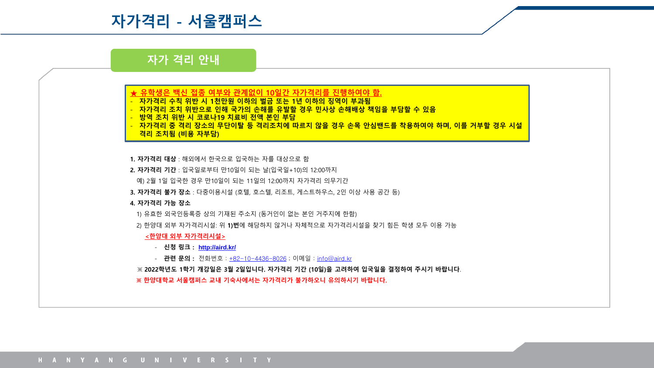# **자가격리 - 서울캠퍼스**

# **자가 격리 안내**



- **자가격리 수칙 위반 시 1천만원 이하의 벌금 또는 1년 이하의 징역이 부과됨**
- **자가격리 조치 위반으로 인해 국가의 손해를 유발할 경우 민사상 손해배상 책임을 부담할 수 있음**
- **방역 조치 위반 시 코로나19 치료비 전액 본인 부담**
- **자가격리 중 격리 장소의 무단이탈 등 격리조치에 따르지 않을 경우 손목 안심밴드를 착용하여야 하며, 이를 거부할 경우 시설 격리 조치됨 (비용 자부담)**
- **1. 자가격리 대상** : 해외에서 한국으로 입국하는 자를 대상으로 함
- **2. 자가격리 기간** : 입국일로부터 만10일이 되는 날(입국일+10)의 12:00까지
- 예) 2월 1일 입국한 경우 만10일이 되는 11일의 12:00까지 자가격리 의무기간
- **3. 자가격리 불가 장소** : 다중이용시설 (호텔, 호스텔, 리조트, 게스트하우스, 2인 이상 사용 공간 등)

#### **4. 자가격리 가능 장소**

- 1) 유효한 외국인등록증 상의 기재된 주소지 (동거인이 없는 본인 거주지에 한함)
- 
- 
- 2) 한양대 외부 자가격리시설: 위 **1)번**에 해당하지 않거나 자체적으로 자가격리시설을 찾기 힘든 학생 모두 이용 가능

#### **<한양대 외부 자가격리시설>**

- **신청 링크 : <http://aird.kr/>**
- **관련 문의 :** 전화번호 : [+82-10-4436-8026](tel:+821044368026) ; 이메일 : [info@aird.kr](mailto:info@aird.kr)
- ※ **2022학년도 1학기 개강일은 3월 2일입니다. 자가격리 기간 (10일)을 고려하여 입국일을 결정하여 주시기 바랍니다**.

#### **※ 한양대학교 서울캠퍼스 교내 기숙사에서는 자가격리가 불가하오니 유의하시기 바랍니다.**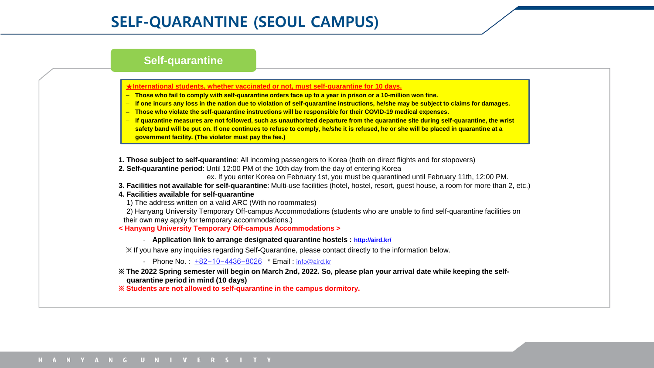## **Self-quarantine**

### **★International students, whether vaccinated or not, must self-quarantine for 10 days.**

- **Those who fail to comply with self-quarantine orders face up to a year in prison or a 10-million won fine.**
- **If one incurs any loss in the nation due to violation of self-quarantine instructions, he/she may be subject to claims for damages.**
- **Those who violate the self-quarantine instructions will be responsible for their COVID-19 medical expenses.**
- **If quarantine measures are not followed, such as unauthorized departure from the quarantine site during self-quarantine, the wrist safety band will be put on. If one continues to refuse to comply, he/she it is refused, he or she will be placed in quarantine at a government facility. (The violator must pay the fee.)**

**1. Those subject to self-quarantine**: All incoming passengers to Korea (both on direct flights and for stopovers)

**2. Self-quarantine period**: Until 12:00 PM of the 10th day from the day of entering Korea

ex. If you enter Korea on February 1st, you must be quarantined until February 11th, 12:00 PM.

**3. Facilities not available for self-quarantine**: Multi-use facilities (hotel, hostel, resort, guest house, a room for more than 2, etc.)

**4. Facilities available for self-quarantine**

1) The address written on a valid ARC (With no roommates)

2) Hanyang University Temporary Off-campus Accommodations (students who are unable to find self-quarantine facilities on their own may apply for temporary accommodations.)

**< Hanyang University Temporary Off-campus Accommodations >**

- **Application link to arrange designated quarantine hostels : <http://aird.kr/>**

※ If you have any inquiries regarding Self-Quarantine, please contact directly to the information below.

- Phone No. : [+82-10-4436-8026](tel:+821044368026) \* Email : [info@aird.kr](mailto:info@aird.kr)

**※ The 2022 Spring semester will begin on March 2nd, 2022. So, please plan your arrival date while keeping the selfquarantine period in mind (10 days)**

**※ Students are not allowed to self-quarantine in the campus dormitory.**